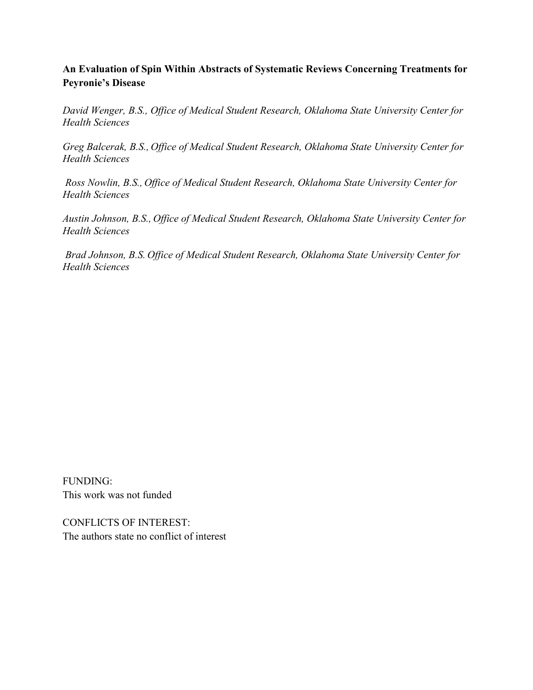# **An Evaluation of Spin Within Abstracts of Systematic Reviews Concerning Treatments for Peyronie's Disease**

*David Wenger, B.S., Office of Medical Student Research, Oklahoma State University Center for Health Sciences*

*Greg Balcerak, B.S., Office of Medical Student Research, Oklahoma State University Center for Health Sciences*

 *Ross Nowlin, B.S., Office of Medical Student Research, Oklahoma State University Center for Health Sciences*

*Austin Johnson, B.S., Office of Medical Student Research, Oklahoma State University Center for Health Sciences*

 *Brad Johnson, B.S. Office of Medical Student Research, Oklahoma State University Center for Health Sciences*

FUNDING: This work was not funded

CONFLICTS OF INTEREST: The authors state no conflict of interest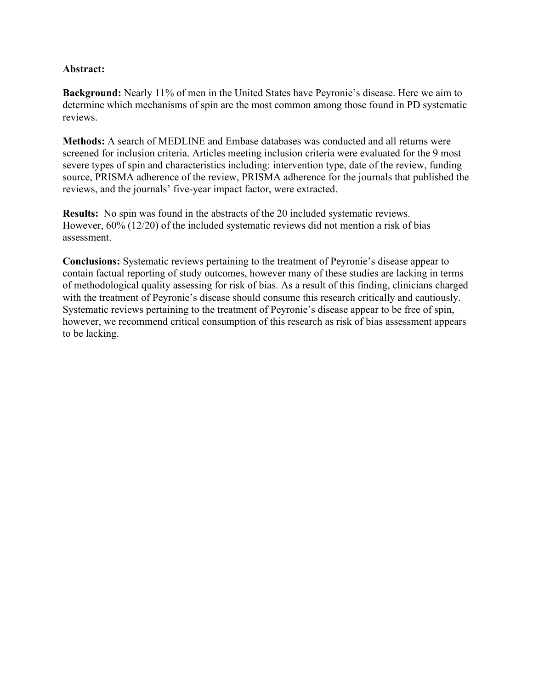#### **Abstract:**

**Background:** Nearly 11% of men in the United States have Peyronie's disease. Here we aim to determine which mechanisms of spin are the most common among those found in PD systematic reviews.

**Methods:** A search of MEDLINE and Embase databases was conducted and all returns were screened for inclusion criteria. Articles meeting inclusion criteria were evaluated for the 9 most severe types of spin and characteristics including: intervention type, date of the review, funding source, PRISMA adherence of the review, PRISMA adherence for the journals that published the reviews, and the journals' five-year impact factor, were extracted.

**Results:** No spin was found in the abstracts of the 20 included systematic reviews. However, 60% (12/20) of the included systematic reviews did not mention a risk of bias assessment.

**Conclusions:** Systematic reviews pertaining to the treatment of Peyronie's disease appear to contain factual reporting of study outcomes, however many of these studies are lacking in terms of methodological quality assessing for risk of bias. As a result of this finding, clinicians charged with the treatment of Peyronie's disease should consume this research critically and cautiously. Systematic reviews pertaining to the treatment of Peyronie's disease appear to be free of spin, however, we recommend critical consumption of this research as risk of bias assessment appears to be lacking.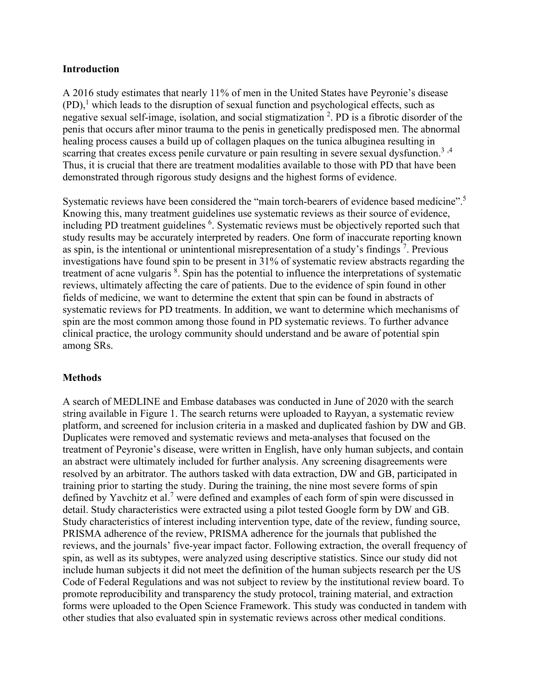#### **Introduction**

A 2016 study estimates that nearly 11% of men in the United States have Peyronie's disease  $(PD)$ ,<sup>1</sup> which leads to the disruption of sexual function and psychological effects, such as negative sexual self-image, isolation, and social stigmatization <sup>2</sup>. PD is a fibrotic disorder of the penis that occurs after minor trauma to the penis in genetically predisposed men. The abnormal healing process causes a build up of collagen plaques on the tunica albuginea resulting in scarring that creates excess penile curvature or pain resulting in severe sexual dysfunction.<sup>3,4</sup> Thus, it is crucial that there are treatment modalities available to those with PD that have been demonstrated through rigorous study designs and the highest forms of evidence.

Systematic reviews have been considered the "main torch-bearers of evidence based medicine".<sup>[5](https://paperpile.com/c/3f8Wvs/u8mq)</sup> Knowing this, many treatment guidelines use systematic reviews as their source of evidence, including PD treatment guidelines <sup>6</sup>. Systematic reviews must be objectively reported such that study results may be accurately interpreted by readers. One form of inaccurate reporting known as spin, is the intentional or unintentional misrepresentation of a study's findings<sup>7</sup>. Previous investigations have found spin to be present in 31% of systematic review abstracts regarding the treatment of acne vulgaris <sup>8</sup>. Spin has the potential to influence the interpretations of systematic reviews, ultimately affecting the care of patients. Due to the evidence of spin found in other fields of medicine, we want to determine the extent that spin can be found in abstracts of systematic reviews for PD treatments. In addition, we want to determine which mechanisms of spin are the most common among those found in PD systematic reviews. To further advance clinical practice, the urology community should understand and be aware of potential spin among SRs.

## **Methods**

A search of MEDLINE and Embase databases was conducted in June of 2020 with the search string available in Figure 1. The search returns were uploaded to Rayyan, a systematic review platform, and screened for inclusion criteria in a masked and duplicated fashion by DW and GB. Duplicates were removed and systematic reviews and meta-analyses that focused on the treatment of Peyronie's disease, were written in English, have only human subjects, and contain an abstract were ultimately included for further analysis. Any screening disagreements were resolved by an arbitrator. The authors tasked with data extraction, DW and GB, participated in training prior to starting the study. During the training, the nine most severe forms of spin defined by Yavchitz et al.<sup>7</sup> were defined and examples of each form of spin were discussed in detail. Study characteristics were extracted using a pilot tested Google form by DW and GB. Study characteristics of interest including intervention type, date of the review, funding source, PRISMA adherence of the review, PRISMA adherence for the journals that published the reviews, and the journals' five-year impact factor. Following extraction, the overall frequency of spin, as well as its subtypes, were analyzed using descriptive statistics. Since our study did not include human subjects it did not meet the definition of the human subjects research per the US Code of Federal Regulations and was not subject to review by the institutional review board. To promote reproducibility and transparency the study protocol, training material, and extraction forms were uploaded to the Open Science Framework. This study was conducted in tandem with other studies that also evaluated spin in systematic reviews across other medical conditions.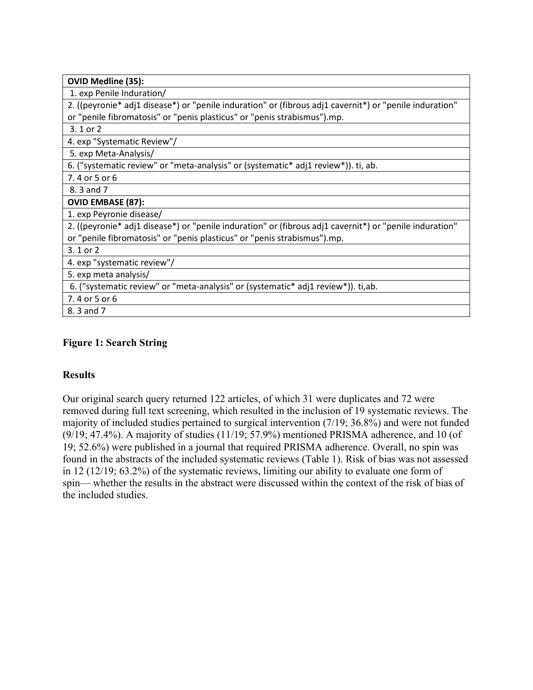| <b>OVID Medline (35):</b>                                                                               |
|---------------------------------------------------------------------------------------------------------|
| 1. exp Penile Induration/                                                                               |
| 2. ((peyronie* adj1 disease*) or "penile induration" or (fibrous adj1 cavernit*) or "penile induration" |
| or "penile fibromatosis" or "penis plasticus" or "penis strabismus").mp.                                |
| 3.1 or 2                                                                                                |
| 4. exp "Systematic Review"/                                                                             |
| 5. exp Meta-Analysis/                                                                                   |
| 6. ("systematic review" or "meta-analysis" or (systematic* adj1 review*)). ti, ab.                      |
| 7.4 or 5 or 6                                                                                           |
| 8.3 and 7                                                                                               |
| <b>OVID EMBASE (87):</b>                                                                                |
| 1. exp Peyronie disease/                                                                                |
| 2. ((peyronie* adj1 disease*) or "penile induration" or (fibrous adj1 cavernit*) or "penile induration" |
| or "penile fibromatosis" or "penis plasticus" or "penis strabismus").mp.                                |
| $3.1$ or $2$                                                                                            |
| 4. exp "systematic review"/                                                                             |
| 5. exp meta analysis/                                                                                   |
| 6. ("systematic review" or "meta-analysis" or (systematic* adj1 review*)). ti,ab.                       |
| 7.4 or 5 or 6                                                                                           |
| 8.3 and 7                                                                                               |

## **Figure 1: Search String**

## **Results**

Our original search query returned 122 articles, of which 31 were duplicates and 72 were removed during full text screening, which resulted in the inclusion of 19 systematic reviews. The majority of included studies pertained to surgical intervention (7/19; 36.8%) and were not funded (9/19; 47.4%). A majority of studies (11/19; 57.9%) mentioned PRISMA adherence, and 10 (of 19; 52.6%) were published in a journal that required PRISMA adherence. Overall, no spin was found in the abstracts of the included systematic reviews (Table 1). Risk of bias was not assessed in 12 (12/19; 63.2%) of the systematic reviews, limiting our ability to evaluate one form of spin— whether the results in the abstract were discussed within the context of the risk of bias of the included studies.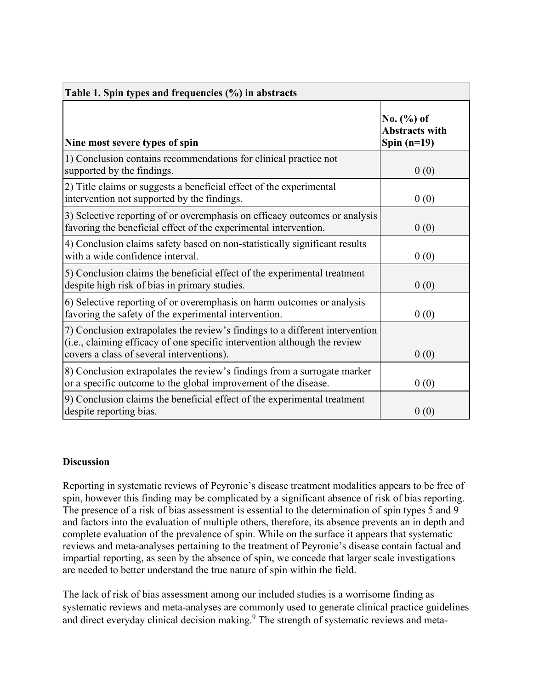| Table 1. Spin types and frequencies $(\% )$ in abstracts                                                                                                                                               |                                                          |  |
|--------------------------------------------------------------------------------------------------------------------------------------------------------------------------------------------------------|----------------------------------------------------------|--|
| Nine most severe types of spin                                                                                                                                                                         | No. $(\% )$ of<br><b>Abstracts with</b><br>Spin $(n=19)$ |  |
| 1) Conclusion contains recommendations for clinical practice not<br>supported by the findings.                                                                                                         | 0(0)                                                     |  |
| 2) Title claims or suggests a beneficial effect of the experimental<br>intervention not supported by the findings.                                                                                     | 0(0)                                                     |  |
| 3) Selective reporting of or overemphasis on efficacy outcomes or analysis<br>favoring the beneficial effect of the experimental intervention.                                                         | 0(0)                                                     |  |
| 4) Conclusion claims safety based on non-statistically significant results<br>with a wide confidence interval.                                                                                         | 0(0)                                                     |  |
| 5) Conclusion claims the beneficial effect of the experimental treatment<br>despite high risk of bias in primary studies.                                                                              | 0(0)                                                     |  |
| 6) Selective reporting of or overemphasis on harm outcomes or analysis<br>favoring the safety of the experimental intervention.                                                                        | 0(0)                                                     |  |
| 7) Conclusion extrapolates the review's findings to a different intervention<br>(i.e., claiming efficacy of one specific intervention although the review<br>covers a class of several interventions). | 0(0)                                                     |  |
| 8) Conclusion extrapolates the review's findings from a surrogate marker<br>or a specific outcome to the global improvement of the disease.                                                            | 0(0)                                                     |  |
| 9) Conclusion claims the beneficial effect of the experimental treatment<br>despite reporting bias.                                                                                                    | 0(0)                                                     |  |

## **Discussion**

Reporting in systematic reviews of Peyronie's disease treatment modalities appears to be free of spin, however this finding may be complicated by a significant absence of risk of bias reporting. The presence of a risk of bias assessment is essential to the determination of spin types 5 and 9 and factors into the evaluation of multiple others, therefore, its absence prevents an in depth and complete evaluation of the prevalence of spin. While on the surface it appears that systematic reviews and meta-analyses pertaining to the treatment of Peyronie's disease contain factual and impartial reporting, as seen by the absence of spin, we concede that larger scale investigations are needed to better understand the true nature of spin within the field.

The lack of risk of bias assessment among our included studies is a worrisome finding as systematic reviews and meta-analyses are commonly used to generate clinical practice guidelines and direct everyday clinical decision making.<sup>9</sup> The strength of systematic reviews and meta-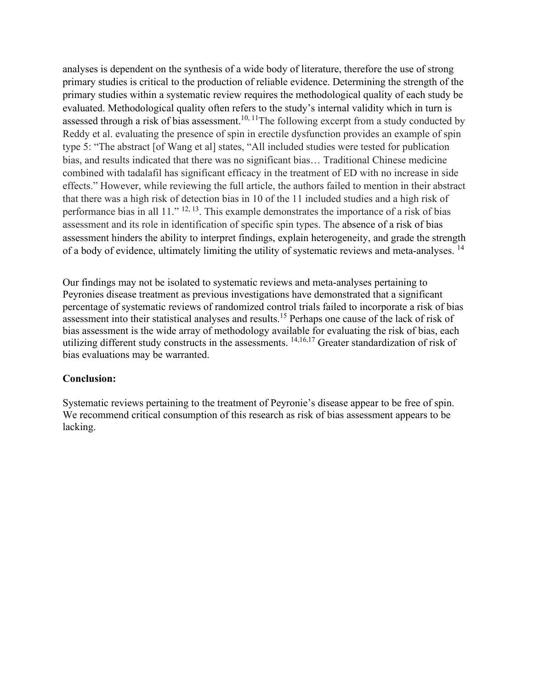analyses is dependent on the synthesis of a wide body of literature, therefore the use of strong primary studies is critical to the production of reliable evidence. Determining the strength of the primary studies within a systematic review requires the methodological quality of each study be evaluated. Methodological quality often refers to the study's internal validity which in turn is assessed through a risk of bias assessment.<sup>10, 11</sup>The following excerpt from a study conducted by Reddy et al. evaluating the presence of spin in erectile dysfunction provides an example of spin type 5: "The abstract [of Wang et al] states, "All included studies were tested for publication bias, and results indicated that there was no significant bias… Traditional Chinese medicine combined with tadalafil has significant efficacy in the treatment of ED with no increase in side effects." However, while reviewing the full article, the authors failed to mention in their abstract that there was a high risk of detection bias in 10 of the 11 included studies and a high risk of performance bias in all  $11.^{12, 13}$ . This example demonstrates the importance of a risk of bias assessment and its role in identification of specific spin types. The absence of a risk of bias assessment hinders the ability to interpret findings, explain heterogeneity, and grade the strength of a body of evidence, ultimately limiting the utility of systematic reviews and meta-analyses. <sup>14</sup>

Our findings may not be isolated to systematic reviews and meta-analyses pertaining to Peyronies disease treatment as previous investigations have demonstrated that a significant percentage of systematic reviews of randomized control trials failed to incorporate a risk of bias assessment into their statistical analyses and results.15 Perhaps one cause of the lack of risk of bias assessment is the wide array of methodology available for evaluating the risk of bias, each utilizing different study constructs in the assessments. <sup>14,16,17</sup> Greater standardization of risk of bias evaluations may be warranted.

#### **Conclusion:**

Systematic reviews pertaining to the treatment of Peyronie's disease appear to be free of spin. We recommend critical consumption of this research as risk of bias assessment appears to be lacking.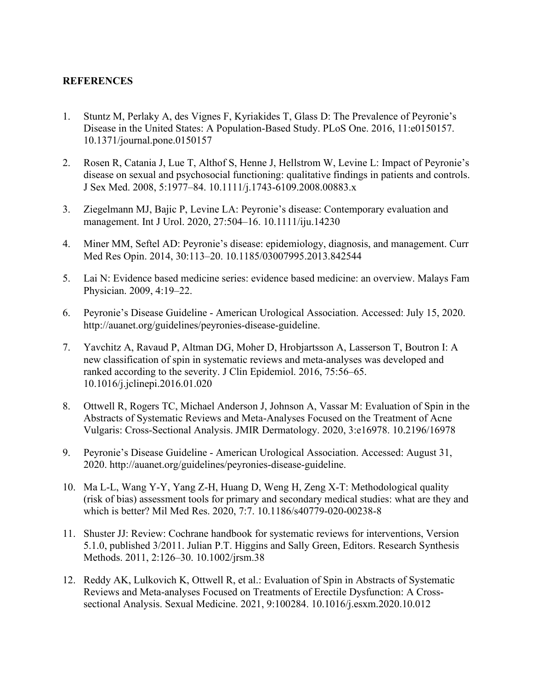#### **REFERENCES**

- 1. [Stuntz M, Perlaky A, des Vignes F, Kyriakides T, Glass D: The Prevalence of Peyronie's](http://paperpile.com/b/3f8Wvs/7nFd)  [Disease in the United States: A Population-Based Study. PLoS One. 2016, 11:e0150157.](http://paperpile.com/b/3f8Wvs/7nFd)  [10.1371/journal.pone.0150157](http://dx.doi.org/10.1371/journal.pone.0150157)
- 2. [Rosen R, Catania J, Lue T, Althof S, Henne J, Hellstrom W, Levine L: Impact of Peyronie's](http://paperpile.com/b/3f8Wvs/eIfr)  [disease on sexual and psychosocial functioning: qualitative findings in patients and controls.](http://paperpile.com/b/3f8Wvs/eIfr)  [J Sex Med. 2008, 5:1977–84.](http://paperpile.com/b/3f8Wvs/eIfr) [10.1111/j.1743-6109.2008.00883.x](http://dx.doi.org/10.1111/j.1743-6109.2008.00883.x)
- 3. [Ziegelmann MJ, Bajic P, Levine LA: Peyronie's disease: Contemporary evaluation and](http://paperpile.com/b/3f8Wvs/txFQ)  [management. Int J Urol. 2020, 27:504–16.](http://paperpile.com/b/3f8Wvs/txFQ) [10.1111/iju.14230](http://dx.doi.org/10.1111/iju.14230)
- 4. [Miner MM, Seftel AD: Peyronie's disease: epidemiology, diagnosis, and management. Curr](http://paperpile.com/b/3f8Wvs/anrg)  [Med Res Opin. 2014, 30:113–20.](http://paperpile.com/b/3f8Wvs/anrg) [10.1185/03007995.2013.842544](http://dx.doi.org/10.1185/03007995.2013.842544)
- 5. [Lai N: Evidence based medicine series: evidence based medicine: an overview. Malays Fam](http://paperpile.com/b/3f8Wvs/u8mq)  [Physician. 2009, 4:19–22.](http://paperpile.com/b/3f8Wvs/u8mq)
- 6. [Peyronie's Disease Guideline American Urological Association. Accessed: July 15, 2020.](http://paperpile.com/b/3f8Wvs/9fjI)  <http://auanet.org/guidelines/peyronies-disease-guideline>[.](http://paperpile.com/b/3f8Wvs/9fjI)
- 7. [Yavchitz A, Ravaud P, Altman DG, Moher D, Hrobjartsson A, Lasserson T, Boutron I: A](http://paperpile.com/b/3f8Wvs/7Jfs)  [new classification of spin in systematic reviews and meta-analyses was developed and](http://paperpile.com/b/3f8Wvs/7Jfs)  [ranked according to the severity. J Clin Epidemiol. 2016, 75:56–65.](http://paperpile.com/b/3f8Wvs/7Jfs)  [10.1016/j.jclinepi.2016.01.020](http://dx.doi.org/10.1016/j.jclinepi.2016.01.020)
- 8. [Ottwell R, Rogers TC, Michael Anderson J, Johnson A, Vassar M: Evaluation of Spin in the](http://paperpile.com/b/3f8Wvs/3H6X)  [Abstracts of Systematic Reviews and Meta-Analyses Focused on the Treatment of Acne](http://paperpile.com/b/3f8Wvs/3H6X)  [Vulgaris: Cross-Sectional Analysis. JMIR Dermatology. 2020, 3:e16978.](http://paperpile.com/b/3f8Wvs/3H6X) [10.2196/16978](http://dx.doi.org/10.2196/16978)
- 9. [Peyronie's Disease Guideline American Urological Association. Accessed: August 31,](http://paperpile.com/b/3f8Wvs/3nk3)  [2020.](http://paperpile.com/b/3f8Wvs/3nk3) <http://auanet.org/guidelines/peyronies-disease-guideline>[.](http://paperpile.com/b/3f8Wvs/3nk3)
- 10. [Ma L-L, Wang Y-Y, Yang Z-H, Huang D, Weng H, Zeng X-T: Methodological quality](http://paperpile.com/b/3f8Wvs/VKlL)  [\(risk of bias\) assessment tools for primary and secondary medical studies: what are they and](http://paperpile.com/b/3f8Wvs/VKlL)  [which is better? Mil Med Res. 2020, 7:7.](http://paperpile.com/b/3f8Wvs/VKlL) [10.1186/s40779-020-00238-8](http://dx.doi.org/10.1186/s40779-020-00238-8)
- 11. [Shuster JJ: Review: Cochrane handbook for systematic reviews for interventions, Version](http://paperpile.com/b/3f8Wvs/SSIb)  [5.1.0, published 3/2011. Julian P.T. Higgins and Sally Green, Editors. Research Synthesis](http://paperpile.com/b/3f8Wvs/SSIb)  [Methods. 2011, 2:126–30.](http://paperpile.com/b/3f8Wvs/SSIb) [10.1002/jrsm.38](http://dx.doi.org/10.1002/jrsm.38)
- 12. [Reddy AK, Lulkovich K, Ottwell R, et al.: Evaluation of Spin in Abstracts of Systematic](http://paperpile.com/b/3f8Wvs/iMqf)  [Reviews and Meta-analyses Focused on Treatments of Erectile Dysfunction: A Cross](http://paperpile.com/b/3f8Wvs/iMqf)[sectional Analysis. Sexual Medicine. 2021, 9:100284.](http://paperpile.com/b/3f8Wvs/iMqf) [10.1016/j.esxm.2020.10.012](http://dx.doi.org/10.1016/j.esxm.2020.10.012)